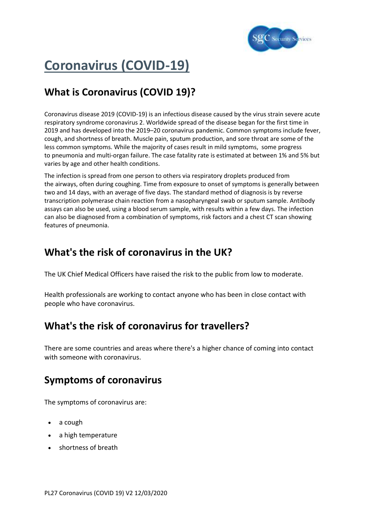

# **Coronavirus (COVID-19)**

# **What is Coronavirus (COVID 19)?**

Coronavirus disease 2019 (COVID-19) is an [infectious disease](https://en.wikipedia.org/wiki/Infectious_disease) caused by the virus strain [severe acute](https://en.wikipedia.org/wiki/Severe_acute_respiratory_syndrome_coronavirus_2)  [respiratory syndrome coronavirus 2.](https://en.wikipedia.org/wiki/Severe_acute_respiratory_syndrome_coronavirus_2) Worldwide spread of the disease began for the first time in 2019 and has developed into the 2019–[20 coronavirus pandemic.](https://en.wikipedia.org/wiki/2019%E2%80%9320_coronavirus_pandemic) Common symptoms include [fever,](https://en.wikipedia.org/wiki/Fever) cough, and shortness of breath. Muscle pain, sputum production, and sore throat are some of the less common symptoms. While the majority of cases result in mild symptoms, some progress to [pneumonia](https://en.wikipedia.org/wiki/Pneumonia) and [multi-organ failure.](https://en.wikipedia.org/wiki/Multi-organ_failure) The [case fatality rate](https://en.wikipedia.org/wiki/Case_fatality_rate) is estimated at between 1% and 5% but varies by age and other health conditions.

The infection is spread from one person to others via [respiratory droplets](https://en.wikipedia.org/wiki/Respiratory_droplets) produced from the [airways,](https://en.wikipedia.org/wiki/Respiratory_tract) often during coughing. Time from exposure to onset of symptoms is generally between two and 14 days, with an average of five days. The standard method of diagnosis is by [reverse](https://en.wikipedia.org/wiki/Reverse_transcription_polymerase_chain_reaction)  [transcription polymerase chain reaction](https://en.wikipedia.org/wiki/Reverse_transcription_polymerase_chain_reaction) from a [nasopharyngeal swab](https://en.wikipedia.org/wiki/Nasopharyngeal_swab) or sputum sample. [Antibody](https://en.wikipedia.org/wiki/Immunoassay)  [assays](https://en.wikipedia.org/wiki/Immunoassay) can also be used, using a [blood serum](https://en.wikipedia.org/wiki/Blood_serum) sample, with results within a few days. The infection can also be diagnosed from a combination of symptoms, risk factors and a chest [CT scan](https://en.wikipedia.org/wiki/CT_scan) showing features of pneumonia.

### **What's the risk of coronavirus in the UK?**

The UK Chief Medical Officers have raised the risk to the public from low to moderate.

Health professionals are working to contact anyone who has been in close contact with people who have coronavirus.

### **What's the risk of coronavirus for travellers?**

There are some countries and areas where there's a higher chance of coming into contact with someone with coronavirus.

## **Symptoms of coronavirus**

The symptoms of coronavirus are:

- a cough
- a high temperature
- shortness of breath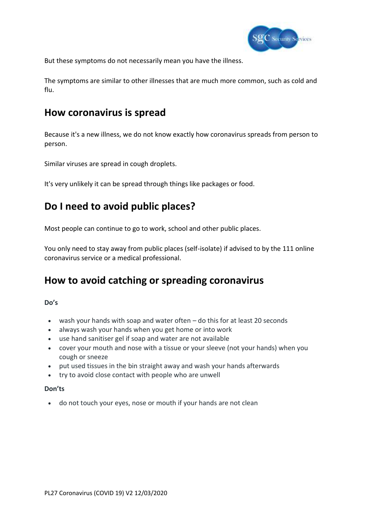

But these symptoms do not necessarily mean you have the illness.

The symptoms are similar to other illnesses that are much more common, such as cold and flu.

#### **How coronavirus is spread**

Because it's a new illness, we do not know exactly how coronavirus spreads from person to person.

Similar viruses are spread in cough droplets.

It's very unlikely it can be spread through things like packages or food.

## **Do I need to avoid public places?**

Most people can continue to go to work, school and other public places.

You only need to stay away from public places (self-isolate) if advised to by the 111 online coronavirus service or a medical professional.

### **How to avoid catching or spreading coronavirus**

**Do's**

- wash your hands with soap and water often do this for at least 20 seconds
- always wash your hands when you get home or into work
- use hand sanitiser gel if soap and water are not available
- cover your mouth and nose with a tissue or your sleeve (not your hands) when you cough or sneeze
- put used tissues in the bin straight away and wash your hands afterwards
- try to avoid close contact with people who are unwell

#### **Don'ts**

• do not touch your eyes, nose or mouth if your hands are not clean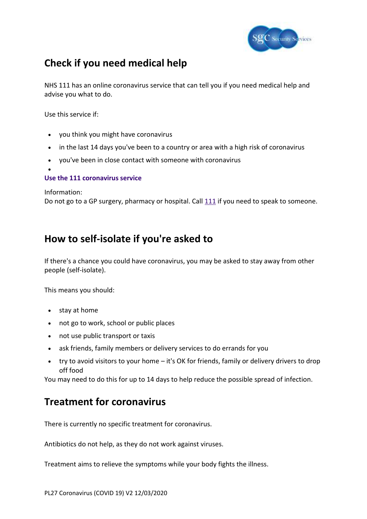

# **Check if you need medical help**

NHS 111 has an online coronavirus service that can tell you if you need medical help and advise you what to do.

Use this service if:

- you think you might have coronavirus
- in the last 14 days you've been to a country or area with a high risk of coronavirus
- you've been in close contact with someone with coronavirus
- •

#### **[Use the 111 coronavirus service](https://111.nhs.uk/covid-19)**

Information:

Do not go to a GP surgery, pharmacy or hospital. Call [111](tel:111) if you need to speak to someone.

#### **How to self-isolate if you're asked to**

If there's a chance you could have coronavirus, you may be asked to stay away from other people (self-isolate).

This means you should:

- stay at home
- not go to work, school or public places
- not use public transport or taxis
- ask friends, family members or delivery services to do errands for you
- try to avoid visitors to your home it's OK for friends, family or delivery drivers to drop off food

You may need to do this for up to 14 days to help reduce the possible spread of infection.

### **Treatment for coronavirus**

There is currently no specific treatment for coronavirus.

Antibiotics do not help, as they do not work against viruses.

Treatment aims to relieve the symptoms while your body fights the illness.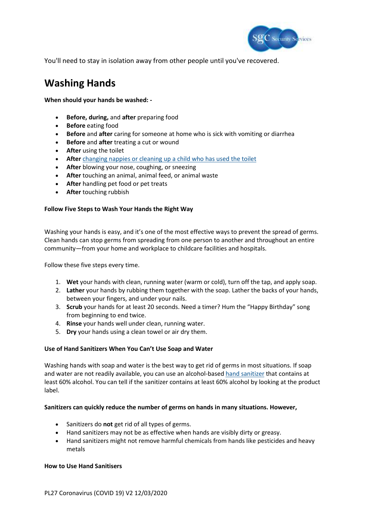

You'll need to stay in isolation away from other people until you've recovered.

## **Washing Hands**

**When should your hands be washed: -**

- **Before, during,** and **after** preparing food
- **Before** eating food
- **Before** and **after** caring for someone at home who is sick with vomiting or diarrhea
- **Before** and **after** treating a cut or wound
- **After** using the toilet
- After [changing nappies or cleaning up a child who has used the toilet](https://www.cdc.gov/healthywater/hygiene/diapering/index.html)
- **After** blowing your nose, coughing, or sneezing
- **After** touching an animal, animal feed, or animal waste
- **After** handling pet food or pet treats
- **After** touching rubbish

#### **Follow Five Steps to Wash Your Hands the Right Way**

Washing your hands is easy, and it's one of the most effective ways to prevent the spread of germs. Clean hands can stop germs from spreading from one person to another and throughout an entire community—from your home and workplace to childcare facilities and hospitals.

Follow these five steps every time.

- 1. **Wet** your hands with clean, running water (warm or cold), turn off the tap, and apply soap.
- 2. **Lather** your hands by rubbing them together with the soap. Lather the backs of your hands, between your fingers, and under your nails.
- 3. **Scrub** your hands for at least 20 seconds. Need a timer? Hum the "Happy Birthday" song from beginning to end twice.
- 4. **Rinse** your hands well under clean, running water.
- 5. **Dry** your hands using a clean towel or air dry them.

#### **Use of Hand Sanitizers When You Can't Use Soap and Water**

Washing hands with soap and water is the best way to get rid of germs in most situations. If soap and water are not readily available, you can use an alcohol-based [hand sanitizer](https://www.cdc.gov/handwashing/show-me-the-science-hand-sanitizer.html) that contains at least 60% alcohol. You can tell if the sanitizer contains at least 60% alcohol by looking at the product label.

#### **Sanitizers can quickly reduce the number of germs on hands in many situations. However,**

- Sanitizers do **not** get rid of all types of germs.
- Hand sanitizers may not be as effective when hands are visibly dirty or greasy.
- Hand sanitizers might not remove harmful chemicals from hands like pesticides and heavy metals

#### **How to Use Hand Sanitisers**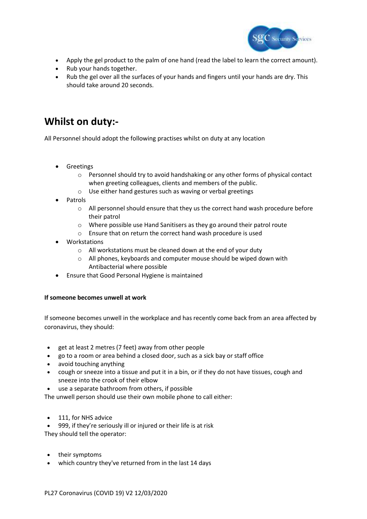

- Apply the gel product to the palm of one hand (read the label to learn the correct amount).
- Rub your hands together.
- Rub the gel over all the surfaces of your hands and fingers until your hands are dry. This should take around 20 seconds.

### **Whilst on duty:-**

All Personnel should adopt the following practises whilst on duty at any location

- Greetings
	- o Personnel should try to avoid handshaking or any other forms of physical contact when greeting colleagues, clients and members of the public.
	- o Use either hand gestures such as waving or verbal greetings
- **Patrols** 
	- o All personnel should ensure that they us the correct hand wash procedure before their patrol
	- o Where possible use Hand Sanitisers as they go around their patrol route
	- o Ensure that on return the correct hand wash procedure is used
- **Workstations** 
	- o All workstations must be cleaned down at the end of your duty
	- o All phones, keyboards and computer mouse should be wiped down with Antibacterial where possible
- Ensure that Good Personal Hygiene is maintained

#### **If someone becomes unwell at work**

If someone becomes unwell in the workplace and has recently come back from an area affected by coronavirus, they should:

- get at least 2 metres (7 feet) away from other people
- go to a room or area behind a closed door, such as a sick bay or staff office
- avoid touching anything
- cough or sneeze into a tissue and put it in a bin, or if they do not have tissues, cough and sneeze into the crook of their elbow
- use a separate bathroom from others, if possible

The unwell person should use their own mobile phone to call either:

• 111, for NHS advice

• 999, if they're seriously ill or injured or their life is at risk They should tell the operator:

- their symptoms
- which country they've returned from in the last 14 days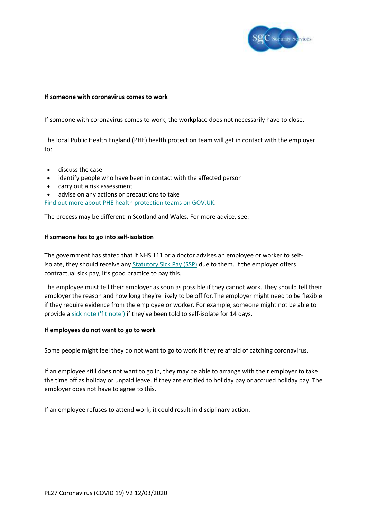

#### **If someone with coronavirus comes to work**

If someone with coronavirus comes to work, the workplace does not necessarily have to close.

The local Public Health England (PHE) health protection team will get in contact with the employer to:

- discuss the case
- identify people who have been in contact with the affected person
- carry out a risk assessment
- advise on any actions or precautions to take

Find out more about PHE health [protection](https://www.gov.uk/guidance/contacts-phe-health-protection-teams) teams on GOV.UK.

The process may be different in Scotland and Wales. For more advice, see:

#### **If someone has to go into self-isolation**

The government has stated that if NHS 111 or a doctor advises an employee or worker to selfisolate, they should receive any **[Statutory](https://www.acas.org.uk/checking-sick-pay/statutory-sick-pay-ssp) Sick Pay (SSP)** due to them. If the employer offers contractual sick pay, it's good practice to pay this.

The employee must tell their employer as soon as possible if they cannot work. They should tell their employer the reason and how long they're likely to be off for.The employer might need to be flexible if they require evidence from the employee or worker. For example, someone might not be able to provide a sick note ('fit [note'\)](https://www.acas.org.uk/absence-from-work/fit-notes-and-proof-of-sickness) if they've been told to self-isolate for 14 days.

#### **If employees do not want to go to work**

Some people might feel they do not want to go to work if they're afraid of catching coronavirus.

If an employee still does not want to go in, they may be able to arrange with their employer to take the time off as holiday or unpaid leave. If they are entitled to holiday pay or accrued holiday pay. The employer does not have to agree to this.

If an employee refuses to attend work, it could result in disciplinary action.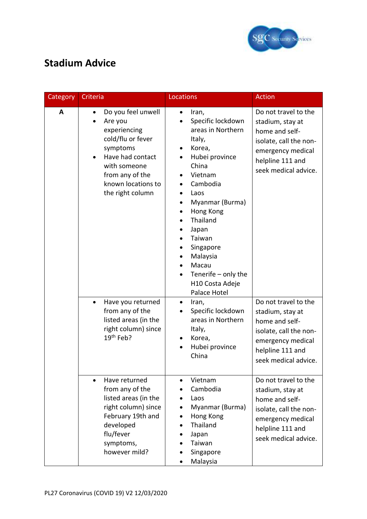

# **Stadium Advice**

| Category | Criteria                                                                                                                                                                                     | Locations                                                                                                                                                                                                                                                                                                            | <b>Action</b>                                                                                                                                         |
|----------|----------------------------------------------------------------------------------------------------------------------------------------------------------------------------------------------|----------------------------------------------------------------------------------------------------------------------------------------------------------------------------------------------------------------------------------------------------------------------------------------------------------------------|-------------------------------------------------------------------------------------------------------------------------------------------------------|
| A        | Do you feel unwell<br>$\bullet$<br>Are you<br>experiencing<br>cold/flu or fever<br>symptoms<br>Have had contact<br>with someone<br>from any of the<br>known locations to<br>the right column | Iran,<br>$\bullet$<br>Specific lockdown<br>areas in Northern<br>Italy,<br>Korea,<br>Hubei province<br>China<br>Vietnam<br>Cambodia<br>Laos<br>Myanmar (Burma)<br>Hong Kong<br>$\bullet$<br>Thailand<br>Japan<br>Taiwan<br>Singapore<br>Malaysia<br>Macau<br>Tenerife $-$ only the<br>H10 Costa Adeje<br>Palace Hotel | Do not travel to the<br>stadium, stay at<br>home and self-<br>isolate, call the non-<br>emergency medical<br>helpline 111 and<br>seek medical advice. |
|          | Have you returned<br>$\bullet$<br>from any of the<br>listed areas (in the<br>right column) since<br>$19th$ Feb?                                                                              | Iran,<br>$\bullet$<br>Specific lockdown<br>areas in Northern<br>Italy,<br>Korea,<br>$\bullet$<br>Hubei province<br>$\bullet$<br>China                                                                                                                                                                                | Do not travel to the<br>stadium, stay at<br>home and self-<br>isolate, call the non-<br>emergency medical<br>helpline 111 and<br>seek medical advice. |
|          | Have returned<br>$\bullet$<br>from any of the<br>listed areas (in the<br>right column) since<br>February 19th and<br>developed<br>flu/fever<br>symptoms,<br>however mild?                    | Vietnam<br>Cambodia<br>Laos<br>Myanmar (Burma)<br>Hong Kong<br>Thailand<br>Japan<br>Taiwan<br>Singapore<br>Malaysia                                                                                                                                                                                                  | Do not travel to the<br>stadium, stay at<br>home and self-<br>isolate, call the non-<br>emergency medical<br>helpline 111 and<br>seek medical advice. |